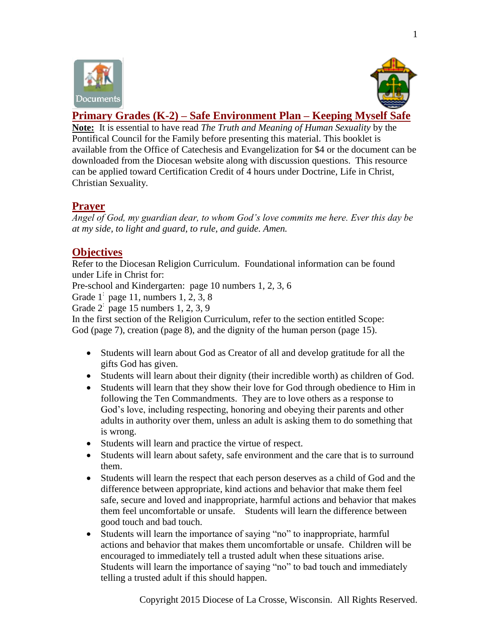



# **Primary Grades (K-2) – Safe Environment Plan – Keeping Myself Safe**

**Note:** It is essential to have read *The Truth and Meaning of Human Sexuality* by the Pontifical Council for the Family before presenting this material. This booklet is available from the Office of Catechesis and Evangelization for \$4 or the document can be downloaded from the Diocesan website along with discussion questions. This resource can be applied toward Certification Credit of 4 hours under Doctrine, Life in Christ, Christian Sexuality.

## **Prayer**

*Angel of God, my guardian dear, to whom God's love commits me here. Ever this day be at my side, to light and guard, to rule, and guide. Amen.* 

## **Objectives**

Refer to the Diocesan Religion Curriculum. Foundational information can be found under Life in Christ for:

Pre-school and Kindergarten: page 10 numbers 1, 2, 3, 6

Grade 1: page 11, numbers 1, 2, 3, 8

Grade 2: page 15 numbers 1, 2, 3, 9

In the first section of the Religion Curriculum, refer to the section entitled Scope: God (page 7), creation (page 8), and the dignity of the human person (page 15).

- Students will learn about God as Creator of all and develop gratitude for all the gifts God has given.
- Students will learn about their dignity (their incredible worth) as children of God.
- Students will learn that they show their love for God through obedience to Him in following the Ten Commandments. They are to love others as a response to God's love, including respecting, honoring and obeying their parents and other adults in authority over them, unless an adult is asking them to do something that is wrong.
- Students will learn and practice the virtue of respect.
- Students will learn about safety, safe environment and the care that is to surround them.
- Students will learn the respect that each person deserves as a child of God and the difference between appropriate, kind actions and behavior that make them feel safe, secure and loved and inappropriate, harmful actions and behavior that makes them feel uncomfortable or unsafe. Students will learn the difference between good touch and bad touch.
- Students will learn the importance of saying "no" to inappropriate, harmful actions and behavior that makes them uncomfortable or unsafe. Children will be encouraged to immediately tell a trusted adult when these situations arise. Students will learn the importance of saying "no" to bad touch and immediately telling a trusted adult if this should happen.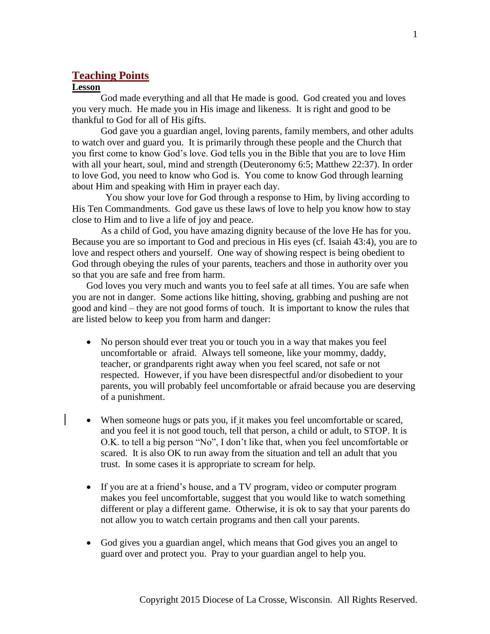### **Teaching Points**

#### **Lesson**

God made everything and all that He made is good. God created you and loves you very much. He made you in His image and likeness. It is right and good to be thankful to God for all of His gifts.

God gave you a guardian angel, loving parents, family members, and other adults to watch over and guard you. It is primarily through these people and the Church that you first come to know God's love. God tells you in the Bible that you are to love Him with all your heart, soul, mind and strength (Deuteronomy 6:5; Matthew 22:37). In order to love God, you need to know who God is. You come to know God through learning about Him and speaking with Him in prayer each day.

 You show your love for God through a response to Him, by living according to His Ten Commandments. God gave us these laws of love to help you know how to stay close to Him and to live a life of joy and peace.

As a child of God, you have amazing dignity because of the love He has for you. Because you are so important to God and precious in His eyes (cf. Isaiah 43:4), you are to love and respect others and yourself. One way of showing respect is being obedient to God through obeying the rules of your parents, teachers and those in authority over you so that you are safe and free from harm.

God loves you very much and wants you to feel safe at all times. You are safe when you are not in danger. Some actions like hitting, shoving, grabbing and pushing are not good and kind – they are not good forms of touch. It is important to know the rules that are listed below to keep you from harm and danger:

- No person should ever treat you or touch you in a way that makes you feel uncomfortable or afraid. Always tell someone, like your mommy, daddy, teacher, or grandparents right away when you feel scared, not safe or not respected. However, if you have been disrespectful and/or disobedient to your parents, you will probably feel uncomfortable or afraid because you are deserving of a punishment.
- When someone hugs or pats you, if it makes you feel uncomfortable or scared, and you feel it is not good touch, tell that person, a child or adult, to STOP. It is O.K. to tell a big person "No", I don't like that, when you feel uncomfortable or scared. It is also OK to run away from the situation and tell an adult that you trust. In some cases it is appropriate to scream for help.
- If you are at a friend's house, and a TV program, video or computer program makes you feel uncomfortable, suggest that you would like to watch something different or play a different game. Otherwise, it is ok to say that your parents do not allow you to watch certain programs and then call your parents.
- God gives you a guardian angel, which means that God gives you an angel to guard over and protect you. Pray to your guardian angel to help you.